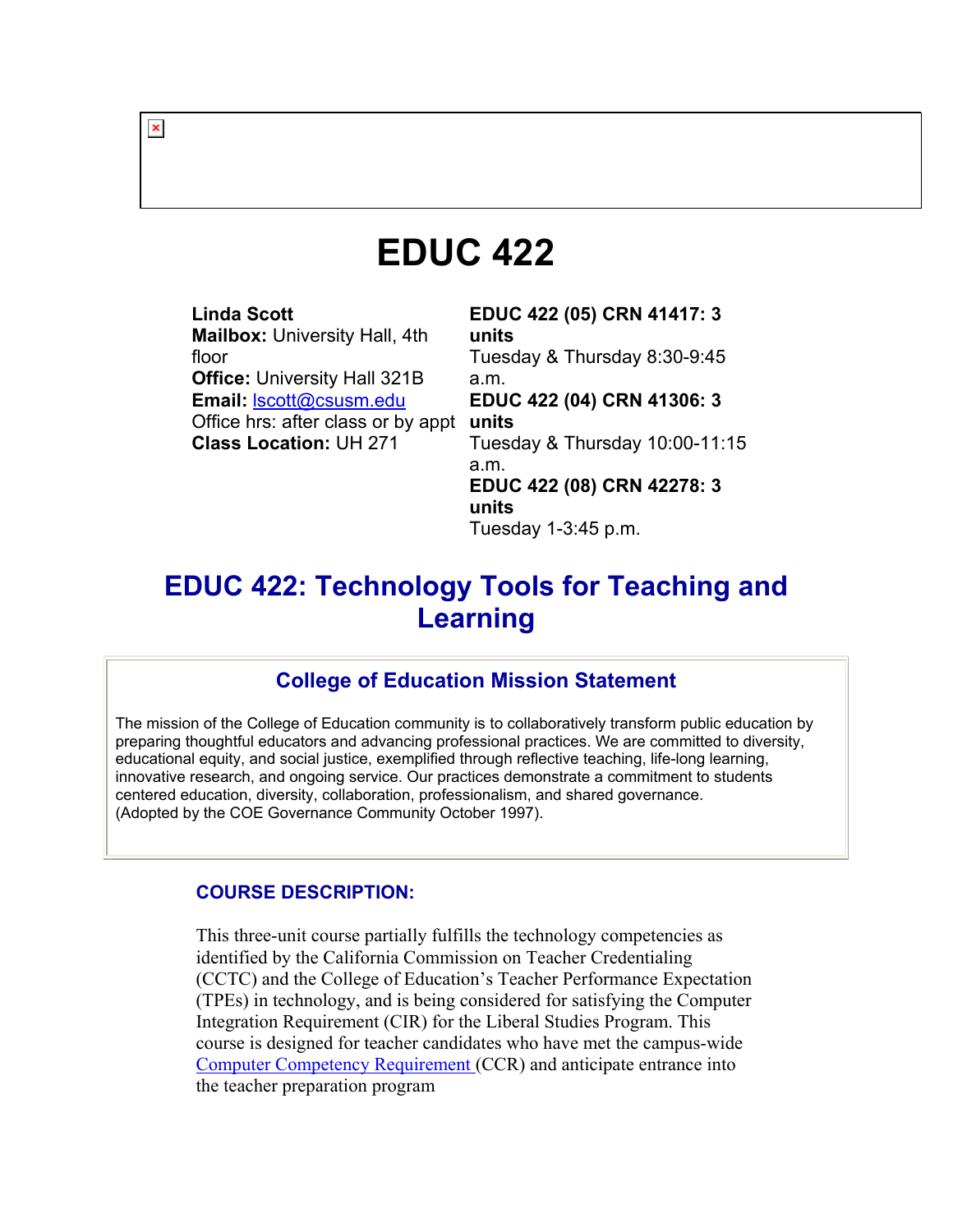# **EDUC 422**

**Linda Scott Mailbox:** University Hall, 4th floor **Office:** University Hall 321B **Email:** lscott@csusm.edu Office hrs: after class or by appt **units Class Location:** UH 271

**EDUC 422 (05) CRN 41417: 3 units**  Tuesday & Thursday 8:30-9:45 a.m. **EDUC 422 (04) CRN 41306: 3**  Tuesday & Thursday 10:00-11:15 a.m. **EDUC 422 (08) CRN 42278: 3 units**  Tuesday 1-3:45 p.m.

# **EDUC 422: Technology Tools for Teaching and Learning**

# **College of Education Mission Statement**

The mission of the College of Education community is to collaboratively transform public education by preparing thoughtful educators and advancing professional practices. We are committed to diversity, educational equity, and social justice, exemplified through reflective teaching, life-long learning, innovative research, and ongoing service. Our practices demonstrate a commitment to students centered education, diversity, collaboration, professionalism, and shared governance. (Adopted by the COE Governance Community October 1997).

#### **COURSE DESCRIPTION:**

This three-unit course partially fulfills the technology competencies as identified by the California Commission on Teacher Credentialing (CCTC) and the College of Education's Teacher Performance Expectation (TPEs) in technology, and is being considered for satisfying the Computer Integration Requirement (CIR) for the Liberal Studies Program. This course is designed for teacher candidates who have met the campus-wide Computer Competency Requirement (CCR) and anticipate entrance into the teacher preparation program

 $\pmb{\times}$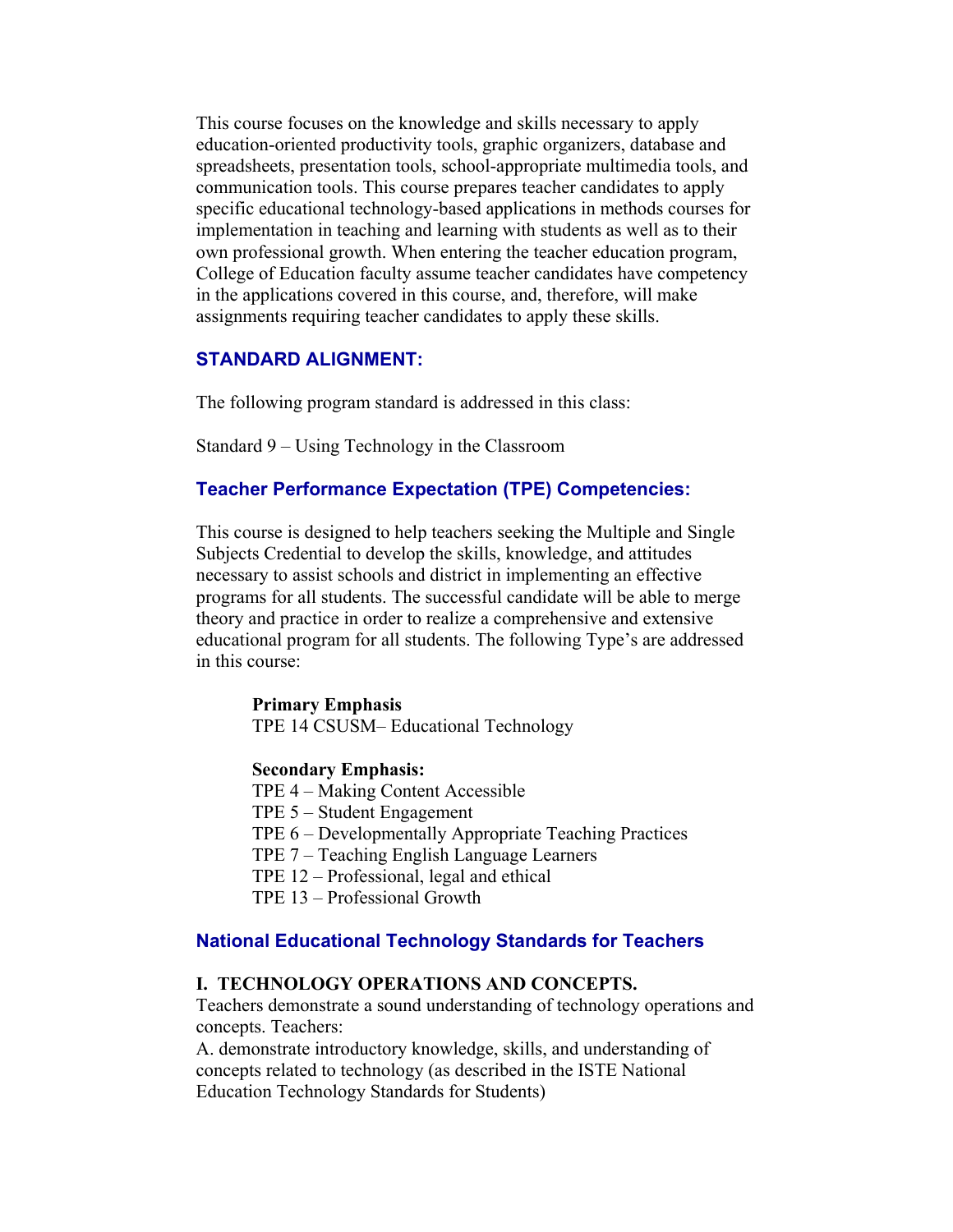This course focuses on the knowledge and skills necessary to apply education-oriented productivity tools, graphic organizers, database and spreadsheets, presentation tools, school-appropriate multimedia tools, and communication tools. This course prepares teacher candidates to apply specific educational technology-based applications in methods courses for implementation in teaching and learning with students as well as to their own professional growth. When entering the teacher education program, College of Education faculty assume teacher candidates have competency in the applications covered in this course, and, therefore, will make assignments requiring teacher candidates to apply these skills.

#### **STANDARD ALIGNMENT:**

The following program standard is addressed in this class:

Standard 9 – Using Technology in the Classroom

#### **Teacher Performance Expectation (TPE) Competencies:**

This course is designed to help teachers seeking the Multiple and Single Subjects Credential to develop the skills, knowledge, and attitudes necessary to assist schools and district in implementing an effective programs for all students. The successful candidate will be able to merge theory and practice in order to realize a comprehensive and extensive educational program for all students. The following Type's are addressed in this course:

#### **Primary Emphasis**

TPE 14 CSUSM– Educational Technology

#### **Secondary Emphasis:**

TPE 4 – Making Content Accessible

- TPE 5 Student Engagement
- TPE 6 Developmentally Appropriate Teaching Practices

TPE 7 – Teaching English Language Learners

TPE 12 – Professional, legal and ethical

TPE 13 – Professional Growth

#### **National Educational Technology Standards for Teachers**

#### **I. TECHNOLOGY OPERATIONS AND CONCEPTS.**

Teachers demonstrate a sound understanding of technology operations and concepts. Teachers:

A. demonstrate introductory knowledge, skills, and understanding of concepts related to technology (as described in the ISTE National Education Technology Standards for Students)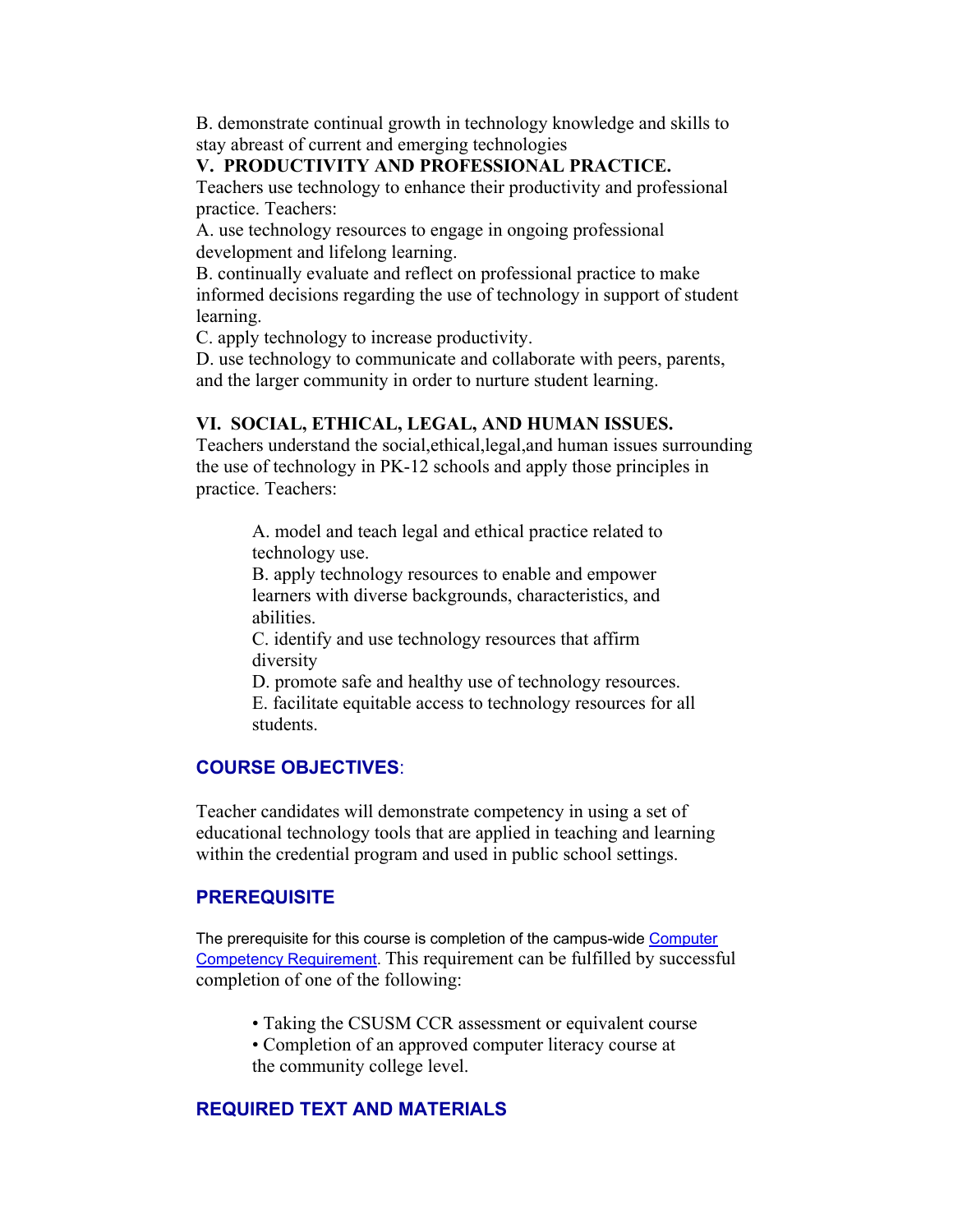B. demonstrate continual growth in technology knowledge and skills to stay abreast of current and emerging technologies

#### **V. PRODUCTIVITY AND PROFESSIONAL PRACTICE.**

Teachers use technology to enhance their productivity and professional practice. Teachers:

A. use technology resources to engage in ongoing professional development and lifelong learning.

B. continually evaluate and reflect on professional practice to make informed decisions regarding the use of technology in support of student learning.

C. apply technology to increase productivity.

D. use technology to communicate and collaborate with peers, parents, and the larger community in order to nurture student learning.

#### **VI. SOCIAL, ETHICAL, LEGAL, AND HUMAN ISSUES.**

Teachers understand the social,ethical,legal,and human issues surrounding the use of technology in PK-12 schools and apply those principles in practice. Teachers:

A. model and teach legal and ethical practice related to technology use.

B. apply technology resources to enable and empower learners with diverse backgrounds, characteristics, and abilities.

C. identify and use technology resources that affirm diversity

D. promote safe and healthy use of technology resources. E. facilitate equitable access to technology resources for all students.

#### **COURSE OBJECTIVES**:

Teacher candidates will demonstrate competency in using a set of educational technology tools that are applied in teaching and learning within the credential program and used in public school settings.

#### **PREREQUISITE**

The prerequisite for this course is completion of the campus-wide Computer Competency Requirement. This requirement can be fulfilled by successful completion of one of the following:

- Taking the CSUSM CCR assessment or equivalent course
- Completion of an approved computer literacy course at the community college level.

#### **REQUIRED TEXT AND MATERIALS**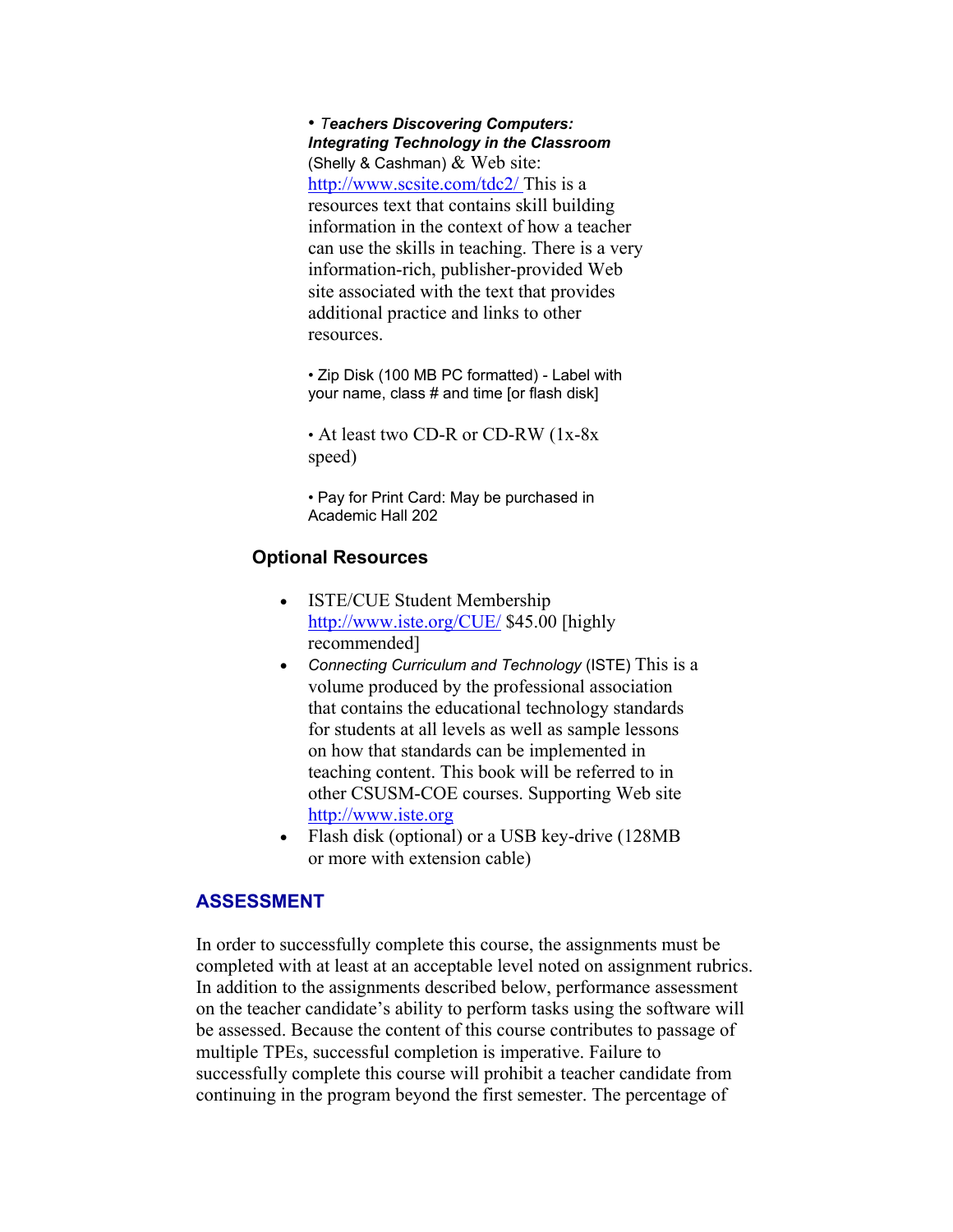• *Teachers Discovering Computers: Integrating Technology in the Classroom* (Shelly & Cashman)  $&$  Web site: http://www.scsite.com/tdc2/ This is a resources text that contains skill building information in the context of how a teacher can use the skills in teaching. There is a very information-rich, publisher-provided Web site associated with the text that provides additional practice and links to other resources.

• Zip Disk (100 MB PC formatted) - Label with your name, class # and time [or flash disk]

• At least two CD-R or CD-RW (1x-8x speed)

• Pay for Print Card: May be purchased in Academic Hall 202

#### **Optional Resources**

- ISTE/CUE Student Membership http://www.iste.org/CUE/ \$45.00 [highly recommended]
- *Connecting Curriculum and Technology* (ISTE) This is a volume produced by the professional association that contains the educational technology standards for students at all levels as well as sample lessons on how that standards can be implemented in teaching content. This book will be referred to in other CSUSM-COE courses. Supporting Web site http://www.iste.org
- Flash disk (optional) or a USB key-drive (128MB) or more with extension cable)

#### **ASSESSMENT**

In order to successfully complete this course, the assignments must be completed with at least at an acceptable level noted on assignment rubrics. In addition to the assignments described below, performance assessment on the teacher candidate's ability to perform tasks using the software will be assessed. Because the content of this course contributes to passage of multiple TPEs, successful completion is imperative. Failure to successfully complete this course will prohibit a teacher candidate from continuing in the program beyond the first semester. The percentage of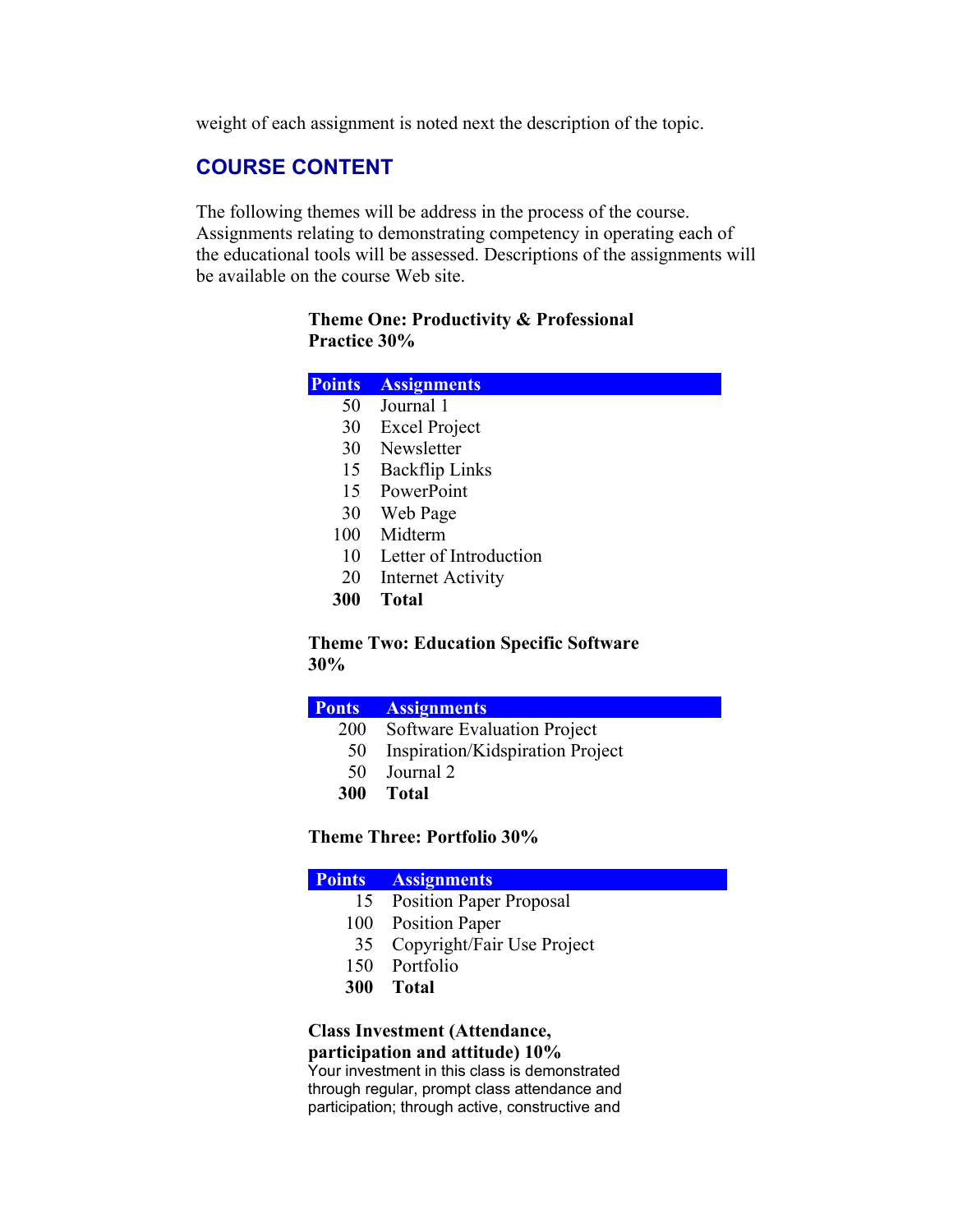weight of each assignment is noted next the description of the topic.

# **COURSE CONTENT**

The following themes will be address in the process of the course. Assignments relating to demonstrating competency in operating each of the educational tools will be assessed. Descriptions of the assignments will be available on the course Web site.

#### **Theme One: Productivity & Professional Practice 30%**

| <b>Points</b> | <b>Assignments</b> |  |
|---------------|--------------------|--|
|               |                    |  |

- 50 Journal 1
- 30 Excel Project
- 30 Newsletter
- 15 Backflip Links
- 15 PowerPoint
- 30 Web Page
- 100 Midterm
- 10 Letter of Introduction
- 20 Internet Activity
- **300 Total**

**Theme Two: Education Specific Software 30%**

#### **Ponts Assignments**

- 200 Software Evaluation Project
- 50 Inspiration/Kidspiration Project
- 50 Journal 2
- **300 Total**

#### **Theme Three: Portfolio 30%**

## **Points Assignments** 15 Position Paper Proposal

- 
- 100 Position Paper
- 35 Copyright/Fair Use Project
- 150 Portfolio
- **300 Total**

#### **Class Investment (Attendance, participation and attitude) 10%**

Your investment in this class is demonstrated through regular, prompt class attendance and participation; through active, constructive and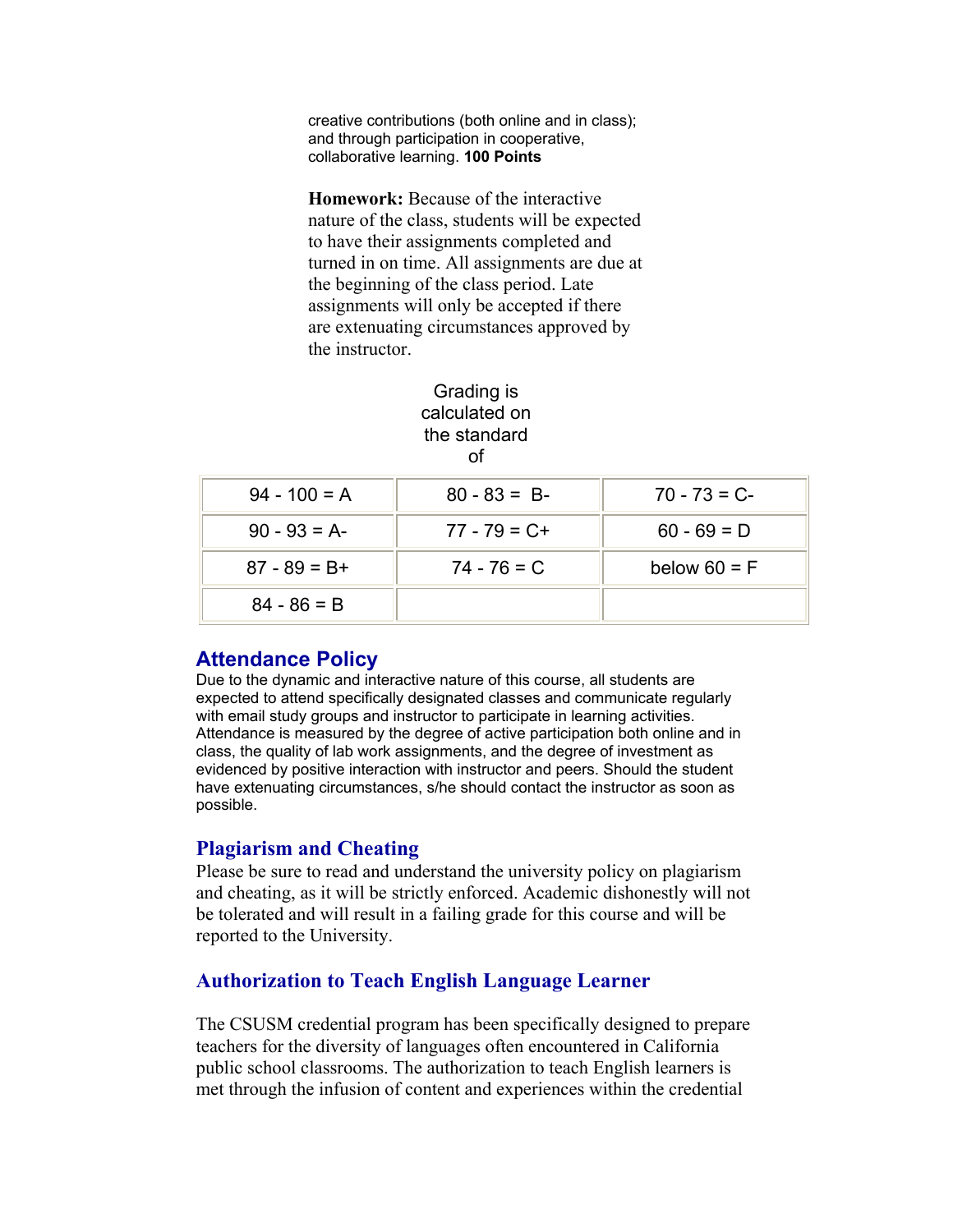creative contributions (both online and in class); and through participation in cooperative, collaborative learning. **100 Points**

**Homework:** Because of the interactive nature of the class, students will be expected to have their assignments completed and turned in on time. All assignments are due at the beginning of the class period. Late assignments will only be accepted if there are extenuating circumstances approved by the instructor.

#### Grading is calculated on the standard of

| $94 - 100 = A$  | $80 - 83 = B$   | $70 - 73 = C$  |
|-----------------|-----------------|----------------|
| $90 - 93 = A$   | $77 - 79 = C +$ | $60 - 69 = D$  |
| $87 - 89 = B +$ | $74 - 76 = C$   | below $60 = F$ |
| $84 - 86 = B$   |                 |                |

# **Attendance Policy**

Due to the dynamic and interactive nature of this course, all students are expected to attend specifically designated classes and communicate regularly with email study groups and instructor to participate in learning activities. Attendance is measured by the degree of active participation both online and in class, the quality of lab work assignments, and the degree of investment as evidenced by positive interaction with instructor and peers. Should the student have extenuating circumstances, s/he should contact the instructor as soon as possible.

# **Plagiarism and Cheating**

Please be sure to read and understand the university policy on plagiarism and cheating, as it will be strictly enforced. Academic dishonestly will not be tolerated and will result in a failing grade for this course and will be reported to the University.

# **Authorization to Teach English Language Learner**

The CSUSM credential program has been specifically designed to prepare teachers for the diversity of languages often encountered in California public school classrooms. The authorization to teach English learners is met through the infusion of content and experiences within the credential